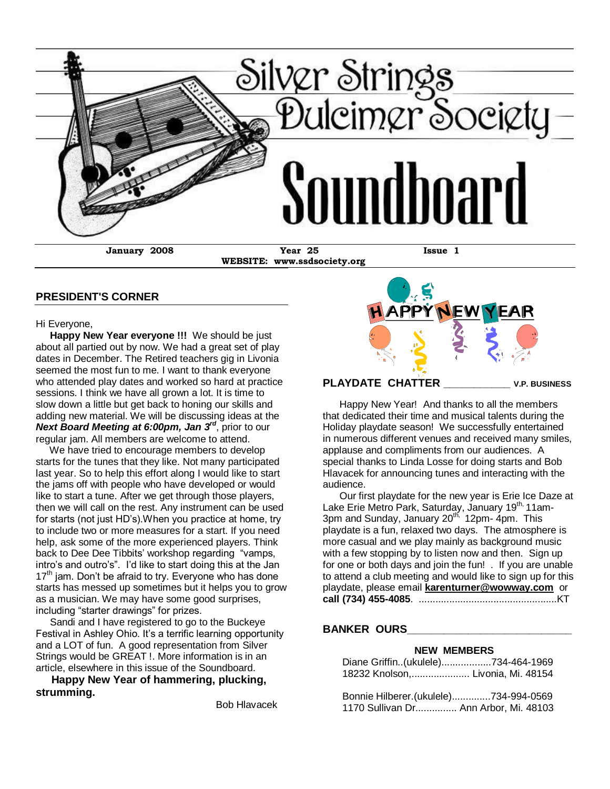

**WEBSITE: www.ssdsociety.org**

# **PLAYDATE CHATTER \_\_\_\_\_\_\_\_\_\_\_ V.P. BUSINESS**

 Happy New Year! And thanks to all the members that dedicated their time and musical talents during the Holiday playdate season! We successfully entertained in numerous different venues and received many smiles, applause and compliments from our audiences. A special thanks to Linda Losse for doing starts and Bob Hlavacek for announcing tunes and interacting with the audience.

 Our first playdate for the new year is Erie Ice Daze at Lake Erie Metro Park, Saturday, January 19<sup>th,</sup> 11am-3pm and Sunday, January  $20<sup>th</sup>$ , 12pm-4pm. This playdate is a fun, relaxed two days. The atmosphere is more casual and we play mainly as background music with a few stopping by to listen now and then. Sign up for one or both days and join the fun! . If you are unable to attend a club meeting and would like to sign up for this playdate, please email **[karenturner@wowway.com](mailto:karenturner@wowway.com)** or **call (734) 455-4085**. ..................................................KT

## **BANKER OURS\_\_\_\_\_\_\_\_\_\_\_\_\_\_\_\_\_\_\_\_\_\_\_\_\_\_\_**

#### **NEW MEMBERS**

| Diane Griffin(ukulele)734-464-1969     |
|----------------------------------------|
| 18232 Knolson,      Livonia, Mi. 48154 |

 Bonnie Hilberer.(ukulele)..............734-994-0569 1170 Sullivan Dr............... Ann Arbor, Mi. 48103

## **PRESIDENT'S CORNER**

Hi Everyone,

 **Happy New Year everyone !!!** We should be just about all partied out by now. We had a great set of play dates in December. The Retired teachers gig in Livonia seemed the most fun to me. I want to thank everyone who attended play dates and worked so hard at practice sessions. I think we have all grown a lot. It is time to slow down a little but get back to honing our skills and adding new material. We will be discussing ideas at the *Next Board Meeting at 6:00pm, Jan 3rd*, prior to our regular jam. All members are welcome to attend.

 We have tried to encourage members to develop starts for the tunes that they like. Not many participated last year. So to help this effort along I would like to start the jams off with people who have developed or would like to start a tune. After we get through those players, then we will call on the rest. Any instrument can be used for starts (not just HD's).When you practice at home, try to include two or more measures for a start. If you need help, ask some of the more experienced players. Think back to Dee Dee Tibbits' workshop regarding "vamps, intro's and outro's". I'd like to start doing this at the Jan  $17<sup>th</sup>$  jam. Don't be afraid to try. Everyone who has done starts has messed up sometimes but it helps you to grow as a musician. We may have some good surprises, including "starter drawings" for prizes.

 Sandi and I have registered to go to the Buckeye Festival in Ashley Ohio. It's a terrific learning opportunity and a LOT of fun. A good representation from Silver Strings would be GREAT !. More information is in an article, elsewhere in this issue of the Soundboard.

 **Happy New Year of hammering, plucking, strumming.**

Bob Hlavacek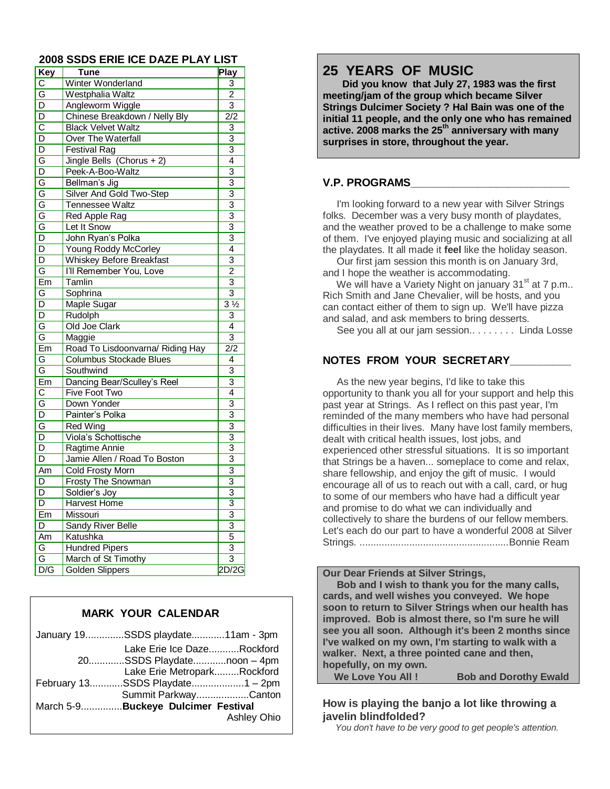#### **2008 SSDS ERIE ICE DAZE PLAY LIST**

| <b>Key</b>              | <b>Tune</b>                      | <b>Play</b>                 |
|-------------------------|----------------------------------|-----------------------------|
| С                       | Winter Wonderland                | $\overline{3}$              |
| $\overline{\mathsf{G}}$ | Westphalia Waltz                 | $\overline{2}$              |
| D                       | Angleworm Wiggle                 | 3                           |
| D                       | Chinese Breakdown / Nelly Bly    | 2/2                         |
| С                       | <b>Black Velvet Waltz</b>        | 3                           |
| D                       | <b>Over The Waterfall</b>        | $\overline{3}$              |
| D                       | <b>Festival Rag</b>              | $\overline{3}$              |
| G                       | Jingle Bells (Chorus + 2)        | $\overline{4}$              |
| D                       | Peek-A-Boo-Waltz                 | $\overline{3}$              |
| $\overline{\mathsf{G}}$ | Bellman's Jig                    | $\overline{3}$              |
| $\overline{\mathsf{G}}$ | <b>Silver And Gold Two-Step</b>  | $\overline{3}$              |
| $\overline{\mathsf{G}}$ | Tennessee Waltz                  | $\overline{\overline{3}}$   |
| G                       | <b>Red Apple Rag</b>             | $\overline{\overline{3}}$   |
| G                       | Let It Snow                      | $\overline{3}$              |
| D                       | John Ryan's Polka                | $\overline{3}$              |
| D                       | <b>Young Roddy McCorley</b>      | 4                           |
| D                       | <b>Whiskey Before Breakfast</b>  | $\overline{3}$              |
| Ġ                       | I'll Remember You, Love          | $\overline{2}$              |
| Em                      | Tamlin                           | $\overline{3}$              |
| G                       | Sophrina                         | 3                           |
| D                       | <b>Maple Sugar</b>               | $\frac{1}{3}$ $\frac{1}{2}$ |
| D                       | Rudolph                          | 3                           |
| G                       | Old Joe Clark                    | 4                           |
| $\overline{\mathsf{G}}$ | Maggie                           | $\overline{3}$              |
| Em                      | Road To Lisdoonvarna/ Riding Hay | 2/2                         |
| G                       | <b>Columbus Stockade Blues</b>   | 4                           |
| $\overline{\mathsf{G}}$ | Southwind                        | $\overline{3}$              |
| Em                      | Dancing Bear/Sculley's Reel      | $\overline{3}$              |
| Ć                       | Five Foot Two                    | 4                           |
| $\overline{\mathsf{G}}$ | Down Yonder                      | $\overline{3}$              |
| D                       | Painter's Polka                  | $\overline{\overline{3}}$   |
| G                       | Red Wing                         | $\overline{3}$              |
| D                       | Viola's Schottische              | $\overline{\overline{3}}$   |
| D                       | Ragtime Annie                    | $\overline{3}$              |
| D                       | Jamie Allen / Road To Boston     | $\overline{3}$              |
| Am                      | <b>Cold Frosty Morn</b>          | $\overline{\overline{3}}$   |
| D                       | <b>Frosty The Snowman</b>        | $\overline{\overline{3}}$   |
| D                       | Soldier's Joy                    | $\overline{3}$              |
| D                       | Harvest Home                     | $\overline{3}$              |
| Em                      | Missouri                         | $\overline{\overline{3}}$   |
| D                       | <b>Sandy River Belle</b>         | $\overline{3}$              |
| Am                      | Katushka                         | 5                           |
| G                       | <b>Hundred Pipers</b>            | 3                           |
| G                       | March of St Timothy              | $\overline{3}$              |
| D/G                     | <b>Golden Slippers</b>           | 2D/2G                       |

## **MARK YOUR CALENDAR**

| January 19SSDS playdate11am - 3pm   |             |
|-------------------------------------|-------------|
| Lake Erie Ice DazeRockford          |             |
| 20SSDS Playdatenoon - 4pm           |             |
| Lake Erie MetroparkRockford         |             |
| February 13SSDS Playdate1 - 2pm     |             |
| Summit ParkwayCanton                |             |
| March 5-9 Buckeye Dulcimer Festival |             |
|                                     | Ashley Ohio |

# **25 YEARS OF MUSIC**

 **Did you know that July 27, 1983 was the first meeting/jam of the group which became Silver Strings Dulcimer Society ? Hal Bain was one of the initial 11 people, and the only one who has remained active. 2008 marks the 25th anniversary with many surprises in store, throughout the year.**

#### **V.P. PROGRAMS\_\_\_\_\_\_\_\_\_\_\_\_\_\_\_\_\_\_\_\_\_\_\_\_\_\_**

 I'm looking forward to a new year with Silver Strings folks. December was a very busy month of playdates, and the weather proved to be a challenge to make some of them. I've enjoyed playing music and socializing at all the playdates. It all made it **feel** like the holiday season.

 Our first jam session this month is on January 3rd, and I hope the weather is accommodating.

We will have a Variety Night on january  $31<sup>st</sup>$  at 7 p.m.. Rich Smith and Jane Chevalier, will be hosts, and you can contact either of them to sign up. We'll have pizza and salad, and ask members to bring desserts.

See you all at our jam session........ Linda Losse

#### **NOTES FROM YOUR SECRETARY\_\_\_\_\_\_\_\_\_\_**

 As the new year begins, I'd like to take this opportunity to thank you all for your support and help this past year at Strings. As I reflect on this past year, I'm reminded of the many members who have had personal difficulties in their lives. Many have lost family members, dealt with critical health issues, lost jobs, and experienced other stressful situations. It is so important that Strings be a haven... someplace to come and relax, share fellowship, and enjoy the gift of music. I would encourage all of us to reach out with a call, card, or hug to some of our members who have had a difficult year and promise to do what we can individually and collectively to share the burdens of our fellow members. Let's each do our part to have a wonderful 2008 at Silver Strings. ......................................................Bonnie Ream

#### **Our Dear Friends at Silver Strings,**

 **Bob and I wish to thank you for the many calls, cards, and well wishes you conveyed. We hope soon to return to Silver Strings when our health has improved. Bob is almost there, so I'm sure he will see you all soon. Although it's been 2 months since I've walked on my own, I'm starting to walk with a walker. Next, a three pointed cane and then, hopefully, on my own.**

We Love You All! Bob and Dorothy Ewald

**How is playing the banjo a lot like throwing a javelin blindfolded?**

 *You don't have to be very good to get people's attention.*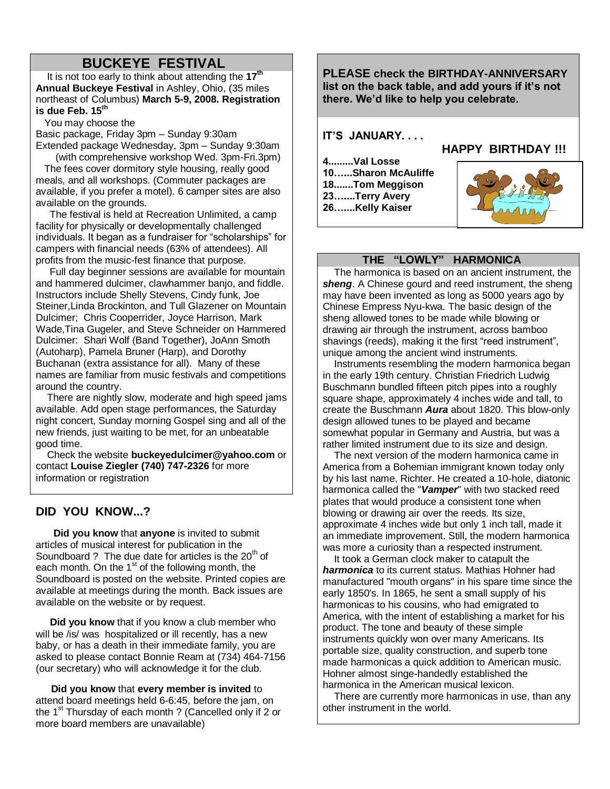# **BUCKEYE FESTIVAL**

 It is not too early to think about attending the **17th Annual Buckeye Festival** in Ashley, Ohio, (35 miles northeast of Columbus) **March 5-9, 2008. Registration is due Feb. 15th**

 You may choose the Basic package, Friday 3pm – Sunday 9:30am Extended package Wednesday, 3pm – Sunday 9:30am

 (with comprehensive workshop Wed. 3pm-Fri.3pm) The fees cover dormitory style housing, really good meals, and all workshops. (Commuter packages are available, if you prefer a motel). 6 camper sites are also available on the grounds.

 The festival is held at Recreation Unlimited, a camp facility for physically or developmentally challenged individuals. It began as a fundraiser for "scholarships" for campers with financial needs (63% of attendees). All profits from the music-fest finance that purpose.

 Full day beginner sessions are available for mountain and hammered dulcimer, clawhammer banjo, and fiddle. Instructors include Shelly Stevens, Cindy funk, Joe Steiner,Linda Brockinton, and Tull Glazener on Mountain Dulcimer; Chris Cooperrider, Joyce Harrison, Mark Wade,Tina Gugeler, and Steve Schneider on Hammered Dulcimer: Shari Wolf (Band Together), JoAnn Smoth (Autoharp), Pamela Bruner (Harp), and Dorothy Buchanan (extra assistance for all). Many of these names are familiar from music festivals and competitions around the country.

 There are nightly slow, moderate and high speed jams available. Add open stage performances, the Saturday night concert, Sunday morning Gospel sing and all of the new friends, just waiting to be met, for an unbeatable good time.

 Check the website **buckeyedulcimer@yahoo.com** or contact **Louise Ziegler (740) 747-2326** for more information or registration

# **DID YOU KNOW...?**

 **Did you know** that **anyone** is invited to submit articles of musical interest for publication in the Soundboard ? The due date for articles is the  $20<sup>th</sup>$  of each month. On the  $1<sup>st</sup>$  of the following month, the Soundboard is posted on the website. Printed copies are available at meetings during the month. Back issues are available on the website or by request.

 **Did you know** that if you know a club member who will be /is/ was hospitalized or ill recently, has a new baby, or has a death in their immediate family, you are asked to please contact Bonnie Ream at (734) 464-7156 (our secretary) who will acknowledge it for the club.

 **Did you know** that **every member is invited** to attend board meetings held 6-6:45, before the jam, on the 1<sup>st</sup> Thursday of each month ? (Cancelled only if 2 or more board members are unavailable)

**PLEASE check the BIRTHDAY-ANNIVERSARY list on the back table, and add yours if it's not there. We'd like to help you celebrate.**

## **IT'S JANUARY. . . .**

# **HAPPY BIRTHDAY !!!**

**4.........Val Losse 10…...Sharon McAuliffe 18.......Tom Meggison 23…....Terry Avery 26…....Kelly Kaiser**



#### **THE "LOWLY" HARMONICA**

 The harmonica is based on an ancient instrument, the *sheng*. A Chinese gourd and reed instrument, the sheng may have been invented as long as 5000 years ago by Chinese Empress Nyu-kwa. The basic design of the sheng allowed tones to be made while blowing or drawing air through the instrument, across bamboo shavings (reeds), making it the first "reed instrument", unique among the ancient wind instruments.

 Instruments resembling the modern harmonica began in the early 19th century. Christian Friedrich Ludwig Buschmann bundled fifteen pitch pipes into a roughly square shape, approximately 4 inches wide and tall, to create the Buschmann *Aura* about 1820. This blow-only design allowed tunes to be played and became somewhat popular in Germany and Austria, but was a rather limited instrument due to its size and design.

 The next version of the modern harmonica came in America from a Bohemian immigrant known today only by his last name, Richter. He created a 10-hole, diatonic harmonica called the "*Vamper*" with two stacked reed plates that would produce a consistent tone when blowing or drawing air over the reeds. Its size, approximate 4 inches wide but only 1 inch tall, made it an immediate improvement. Still, the modern harmonica was more a curiosity than a respected instrument.

 It took a German clock maker to catapult the *harmonica* to its current status. Mathias Hohner had manufactured "mouth organs" in his spare time since the early 1850's. In 1865, he sent a small supply of his harmonicas to his cousins, who had emigrated to America, with the intent of establishing a market for his product. The tone and beauty of these simple instruments quickly won over many Americans. Its portable size, quality construction, and superb tone made harmonicas a quick addition to American music. Hohner almost singe-handedly established the harmonica in the American musical lexicon.

 There are currently more harmonicas in use, than any other instrument in the world.